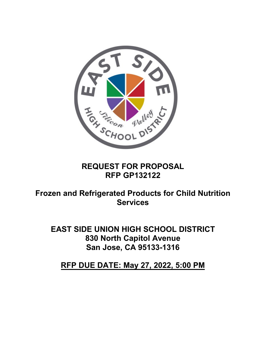

# **REQUEST FOR PROPOSAL RFP GP132122**

# **Frozen and Refrigerated Products for Child Nutrition Services**

**EAST SIDE UNION HIGH SCHOOL DISTRICT 830 North Capitol Avenue San Jose, CA 95133-1316** 

**RFP DUE DATE: May 27, 2022, 5:00 PM**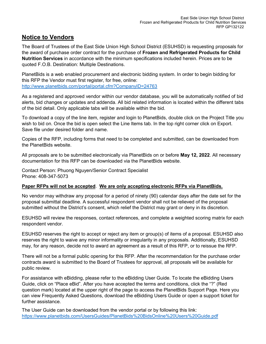#### **Notice to Vendors**

The Board of Trustees of the East Side Union High School District (ESUHSD) is requesting proposals for the award of purchase order contract for the purchase of **Frozen and Refrigerated Products for Child Nutrition Services** in accordance with the minimum specifications included herein. Prices are to be quoted F.O.B. Destination: Multiple Destinations.

PlanetBids is a web enabled procurement and electronic bidding system. In order to begin bidding for this RFP the Vendor must first register, for free, online: <http://www.planetbids.com/portal/portal.cfm?CompanyID=24763>

As a registered and approved vendor within our vendor database, you will be automatically notified of bid alerts, bid changes or updates and addenda. All bid related information is located within the different tabs of the bid detail. Only applicable tabs will be available within the bid.

To download a copy of the line item, register and login to PlanetBids, double click on the Project Title you wish to bid on. Once the bid is open select the Line Items tab. In the top right corner click on Export. Save file under desired folder and name.

Copies of the RFP, including forms that need to be completed and submitted, can be downloaded from the PlanetBids website.

All proposals are to be submitted electronically via PlanetBids on or before **May 12, 2022**. All necessary documentation for this RFP can be downloaded via the PlanetBids website.

Contact Person: Phuong Nguyen/Senior Contract Specialist Phone: 408-347-5073

#### **Paper RFPs will not be accepted**. **We are only accepting electronic RFPs via PlanetBids.**

No vendor may withdraw any proposal for a period of ninety (90) calendar days after the date set for the proposal submittal deadline. A successful respondent vendor shall not be relieved of the proposal submitted without the District's consent, which relief the District may grant or deny in its discretion.

ESUHSD will review the responses, contact references, and complete a weighted scoring matrix for each respondent vendor.

ESUHSD reserves the right to accept or reject any item or group(s) of items of a proposal. ESUHSD also reserves the right to waive any minor informality or irregularity in any proposals. Additionally, ESUHSD may, for any reason, decide not to award an agreement as a result of this RFP, or to reissue the RFP.

There will not be a formal public opening for this RFP. After the recommendation for the purchase order contracts award is submitted to the Board of Trustees for approval, all proposals will be available for public review.

For assistance with eBidding, please refer to the eBidding User Guide. To locate the eBidding Users Guide, click on "Place eBid". After you have accepted the terms and conditions, click the "?" (Red question mark) located at the upper right of the page to access the PlanetBids Support Page. Here you can view Frequently Asked Questions, download the eBidding Users Guide or open a support ticket for further assistance.

The User Guide can be downloaded from the vendor portal or by following this link: <https://www.planetbids.com/UsersGuides/PlanetBids%20BidsOnline%20Users%20Guide.pdf>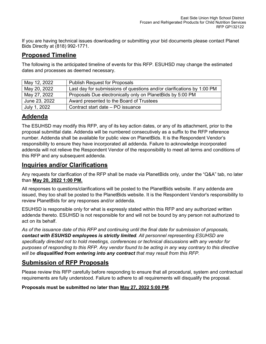If you are having technical issues downloading or submitting your bid documents please contact Planet Bids Directly at (818) 992-1771.

# **Proposed Timeline**

The following is the anticipated timeline of events for this RFP. ESUHSD may change the estimated dates and processes as deemed necessary.

| May 12, 2022  | <b>Publish Request for Proposals</b>                                   |  |
|---------------|------------------------------------------------------------------------|--|
| May 20, 2022  | Last day for submissions of questions and/or clarifications by 1:00 PM |  |
| May 27, 2022  | Proposals Due electronically only on PlanetBids by 5:00 PM             |  |
| June 23, 2022 | Award presented to the Board of Trustees                               |  |
| July 1, 2022  | Contract start date - PO issuance                                      |  |

# **Addenda**

The ESUHSD may modify this RFP, any of its key action dates, or any of its attachment, prior to the proposal submittal date. Addenda will be numbered consecutively as a suffix to the RFP reference number. Addenda shall be available for public view on PlanetBids. It is the Respondent Vendor's responsibility to ensure they have incorporated all addenda. Failure to acknowledge incorporated addenda will not relieve the Respondent Vendor of the responsibility to meet all terms and conditions of this RFP and any subsequent addenda.

#### **Inquiries and/or Clarifications**

Any requests for clarification of the RFP shall be made via PlanetBids only, under the "Q&A" tab, no later than **May 20, 2022 1:00 PM.**

All responses to questions/clarifications will be posted to the PlanetBids website. If any addenda are issued, they too shall be posted to the PlanetBids website. It is the Respondent Vendor's responsibility to review PlanetBids for any responses and/or addenda.

ESUHSD is responsible only for what is expressly stated within this RFP and any authorized written addenda thereto. ESUHSD is not responsible for and will not be bound by any person not authorized to act on its behalf.

*As of the issuance date of this RFP and continuing until the final date for submission of proposals, contact with ESUHSD employees is strictly limited. All personnel representing ESUHSD are specifically directed not to hold meetings, conferences or technical discussions with any vendor for purposes of responding to this RFP. Any vendor found to be acting in any way contrary to this directive will be disqualified from entering into any contract that may result from this RFP.*

#### **Submission of RFP Proposals**

Please review this RFP carefully before responding to ensure that all procedural, system and contractual requirements are fully understood. Failure to adhere to all requirements will disqualify the proposal.

**Proposals must be submitted no later than May 27, 2022 5:00 PM**.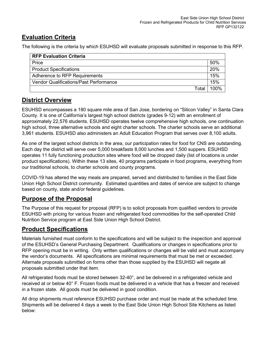# **Evaluation Criteria**

The following is the criteria by which ESUHSD will evaluate proposals submitted in response to this RFP.

| <b>RFP Evaluation Criteria</b>                |      |  |  |
|-----------------------------------------------|------|--|--|
| Price                                         |      |  |  |
| <b>Product Specifications</b>                 |      |  |  |
| Adherence to RFP Requirements                 |      |  |  |
| <b>Vendor Qualifications/Past Performance</b> |      |  |  |
| Total                                         | 100% |  |  |

#### **District Overview**

ESUHSD encompasses a 180 square mile area of San Jose, bordering on "Silicon Valley" in Santa Clara County. It is one of California's largest high school districts (grades 9-12) with an enrollment of approximately 22,576 students. ESUHSD operates twelve comprehensive high schools, one continuation high school, three alternative schools and eight charter schools. The charter schools serve an additional 3,961 students. ESUHSD also administers an Adult Education Program that serves over 8,100 adults.

As one of the largest school districts in the area, our participation rates for food for CNS are outstanding. Each day the district will serve over 5,000 breakfasts 8,000 lunches and 1,500 suppers. ESUHSD operates 11 fully functioning production sites where food will be dropped daily (list of locations is under product specifications). Within these 13 sites, 40 programs participate in food programs, everything from our traditional schools, to charter schools and county programs.

COVID-19 has altered the way meals are prepared, served and distributed to families in the East Side Union High School District community. Estimated quantities and dates of service are subject to change based on county, state and/or federal guidelines.

#### **Purpose of the Proposal**

The Purpose of this request for proposal (RFP) is to solicit proposals from qualified vendors to provide ESUHSD with pricing for various frozen and refrigerated food commodities for the self-operated Child Nutrition Service program at East Side Union High School District.

#### **Product Specifications**

Materials furnished must conform to the specifications and will be subject to the inspection and approval of the ESUHSD's General Purchasing Department. Qualifications or changes in specifications prior to RFP opening must be in writing. Only written qualifications or changes will be valid and must accompany the vendor's documents. All specifications are minimal requirements that must be met or exceeded. Alternate proposals submitted on forms other than those supplied by the ESUHSD will negate all proposals submitted under that item.

All refrigerated foods must be stored between 32-40°, and be delivered in a refrigerated vehicle and received at or below 40° F. Frozen foods must be delivered in a vehicle that has a freezer and received in a frozen state. All goods must be delivered in good condition.

All drop shipments must reference ESUHSD purchase order and must be made at the scheduled time. Shipments will be delivered 4 days a week to the East Side Union High School Site Kitchens as listed below: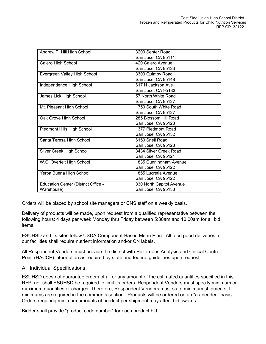| Andrew P. Hill High School          | 3200 Senter Road         |  |  |
|-------------------------------------|--------------------------|--|--|
|                                     | San Jose, CA 95111       |  |  |
| Calero High School                  | 420 Calero Avenue        |  |  |
|                                     | San Jose, CA 95123       |  |  |
| Evergreen Valley High School        | 3300 Quimby Road         |  |  |
|                                     | San Jose, CA 95148       |  |  |
| Independence High School            | 617 N Jackson Ave        |  |  |
|                                     | San Jose, CA 95133       |  |  |
| James Lick High School              | 57 North White Road      |  |  |
|                                     | San Jose, CA 95127       |  |  |
| Mt. Pleasant High School            | 1750 South White Road    |  |  |
|                                     | San Jose, CA 95127       |  |  |
| Oak Grove High School               | 285 Blossom Hill Road    |  |  |
|                                     | San Jose, CA 95123       |  |  |
| Piedmont Hills High School          | 1377 Piedmont Road       |  |  |
|                                     | San Jose, CA 95132       |  |  |
| Santa Teresa High School            | 6150 Snell Road          |  |  |
|                                     | San Jose, CA 95123       |  |  |
| Silver Creek High School            | 3434 Silver Creek Road   |  |  |
|                                     | San Jose, CA 95121       |  |  |
| W.C. Overfelt High School           | 1835 Cunningham Avenue   |  |  |
|                                     | San Jose, CA 95122       |  |  |
| Yerba Buena High School             | 1855 Lucretia Avenue     |  |  |
|                                     | San Jose, CA 95122       |  |  |
| Education Center (District Office - | 830 North Capitol Avenue |  |  |
| Warehouse)                          | San Jose, CA 95133       |  |  |
|                                     |                          |  |  |

Orders will be placed by school site managers or CNS staff on a weekly basis.

Delivery of products will be made, upon request from a qualified representative between the following hours: 4 days per week Monday thru Friday between 5:30am and 10:00am for all bid items.

ESUHSD and its sites follow USDA Component-Based Menu Plan. All food good deliveries to our facilities shall require nutrient information and/or CN labels.

All Respondent Vendors must provide the district with Hazardous Analysis and Critical Control Point (HACCP) information as required by state and federal guidelines upon request.

A. Individual Specifications:

ESUHSD does not guarantee orders of all or any amount of the estimated quantities specified in this RFP, nor shall ESUHSD be required to limit its orders. Respondent Vendors must specify minimum or maximum quantities or charges. Therefore, Respondent Vendors must state minimum shipments if minimums are required in the comments section. Products will be ordered on an "as-needed" basis. Orders requiring minimum amounts of product per shipment may affect bid awards.

Bidder shall provide "product code number" for each product bid.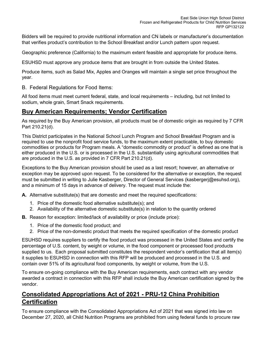Bidders will be required to provide nutritional information and CN labels or manufacturer's documentation that verifies product's contribution to the School Breakfast and/or Lunch pattern upon request.

Geographic preference (California) to the maximum extent feasible and appropriate for produce items.

ESUHSD must approve any produce items that are brought in from outside the United States.

Produce items, such as Salad Mix, Apples and Oranges will maintain a single set price throughout the year.

B. Federal Regulations for Food Items:

All food items must meet current federal, state, and local requirements – including, but not limited to sodium, whole grain, Smart Snack requirements.

#### **Buy American Requirements; Vendor Certification**

As required by the Buy American provision, all products must be of domestic origin as required by 7 CFR Part 210.21(d).

This District participates in the National School Lunch Program and School Breakfast Program and is required to use the nonprofit food service funds, to the maximum extent practicable, to buy domestic commodities or products for Program meals. A "domestic commodity or product" is defined as one that is either produced in the U.S. or is processed in the U.S. substantially using agricultural commodities that are produced in the U.S. as provided in 7 CFR Part 210.21(d).

Exceptions to the Buy American provision should be used as a last resort; however, an alternative or exception may be approved upon request. To be considered for the alternative or exception, the request must be submitted in writing to Julie Kasberger, Director of General Services (kasbergerj@esuhsd.org), and a minimum of 15 days in advance of delivery. The request must include the:

**A.** Alternative substitute(s) that are domestic and meet the required specifications:

- 1. Price of the domestic food alternative substitute(s); and
- 2. Availability of the alternative domestic substitute(s) in relation to the quantity ordered

**B.** Reason for exception: limited/lack of availability or price (include price):

- 1. Price of the domestic food product; and
- 2. Price of the non-domestic product that meets the required specification of the domestic product

ESUHSD requires suppliers to certify the food product was processed in the United States and certify the percentage of U.S. content, by weight or volume, in the food component or processed food products supplied to us. Each proposal submitted constitutes the respondent vendor's certification that all item(s) it supplies to ESUHSD in connection with this RFP will be produced and processed in the U.S. and contain over 51% of its agricultural food components, by weight or volume, from the U.S.

To ensure on-going compliance with the Buy American requirements, each contract with any vendor awarded a contract in connection with this RFP shall include the Buy American certification signed by the vendor.

# **Consolidated Appropriations Act of 2021 - PRU-12 China Prohibition Certification**

To ensure compliance with the Consolidated Appropriations Act of 2021 that was signed into law on December 27, 2020, all Child Nutrition Programs are prohibited from using federal funds to procure raw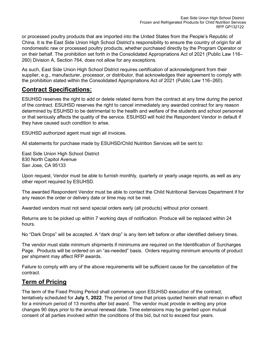or processed poultry products that are imported into the United States from the People's Republic of China. It is the East Side Union High School District's responsibility to ensure the country of origin for all nondomestic raw or processed poultry products, whether purchased directly by the Program Operator or on their behalf. The prohibition set forth in the Consolidated Appropriations Act of 2021 (Public Law 116– 260) Division A, Section 764, does not allow for any exceptions.

As such, East Side Union High School District requires certification of acknowledgment from their supplier, e.g., manufacturer, processor, or distributor, that acknowledges their agreement to comply with the prohibition stated within the Consolidated Appropriations Act of 2021 (Public Law 116–260).

#### **Contract Specifications:**

ESUHSD reserves the right to add or delete related items from the contract at any time during the period of the contract. ESUHSD reserves the right to cancel immediately any awarded contract for any reason determined by ESUHSD to be detrimental to the health and welfare of the students and school personnel or that seriously affects the quality of the service. ESUHSD will hold the Respondent Vendor in default if they have caused such condition to arise.

ESUHSD authorized agent must sign all invoices.

All statements for purchase made by ESUHSD/Child Nutrition Services will be sent to:

East Side Union High School District 830 North Capitol Avenue San Jose, CA 95133

Upon request, Vendor must be able to furnish monthly, quarterly or yearly usage reports, as well as any other report required by ESUHSD.

The awarded Respondent Vendor must be able to contact the Child Nutritional Services Department if for any reason the order or delivery date or time may not be met.

Awarded vendors must not send special orders early (all products) without prior consent.

Returns are to be picked up within 7 working days of notification. Produce will be replaced within 24 hours.

No "Dark Drops" will be accepted. A "dark drop" is any item left before or after identified delivery times.

The vendor must state minimum shipments if minimums are required on the Identification of Surcharges Page. Products will be ordered on an "as-needed" basis. Orders requiring minimum amounts of product per shipment may affect RFP awards.

Failure to comply with any of the above requirements will be sufficient cause for the cancellation of the contract.

#### **Term of Pricing**

The term of the Fixed Pricing Period shall commence upon ESUHSD execution of the contract, tentatively scheduled for **July 1, 2022**. The period of time that prices quoted herein shall remain in effect for a minimum period of 13 months after bid award. The vendor must provide in writing any price changes 90 days prior to the annual renewal date. Time extensions may be granted upon mutual consent of all parties involved within the conditions of this bid, but not to exceed four years.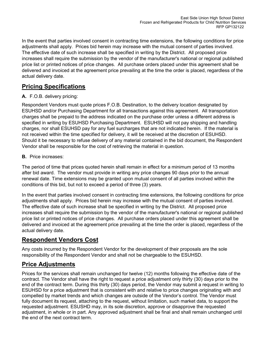In the event that parties involved consent in contracting time extensions, the following conditions for price adjustments shall apply. Prices bid herein may increase with the mutual consent of parties involved. The effective date of such increase shall be specified in writing by the District. All proposed price increases shall require the submission by the vendor of the manufacturer's national or regional published price list or printed notices of price changes. All purchase orders placed under this agreement shall be delivered and invoiced at the agreement price prevailing at the time the order is placed, regardless of the actual delivery date.

# **Pricing Specifications**

#### **A.** F.O.B. delivery pricing:

Respondent Vendors must quote prices F.O.B. Destination, to the delivery location designated by ESUHSD and/or Purchasing Department for all transactions against this agreement. All transportation charges shall be prepaid to the address indicated on the purchase order unless a different address is specified in writing by ESUHSD Purchasing Department. ESUHSD will not pay shipping and handling charges, nor shall ESUHSD pay for any fuel surcharges that are not indicated herein. If the material is not received within the time specified for delivery, it will be received at the discretion of ESUHSD. Should it be necessary to refuse delivery of any material contained in the bid document, the Respondent Vendor shall be responsible for the cost of retrieving the material in question.

#### **B.** Price increases:

The period of time that prices quoted herein shall remain in effect for a minimum period of 13 months after bid award. The vendor must provide in writing any price changes 90 days prior to the annual renewal date. Time extensions may be granted upon mutual consent of all parties involved within the conditions of this bid, but not to exceed a period of three (3) years.

In the event that parties involved consent in contracting time extensions, the following conditions for price adjustments shall apply. Prices bid herein may increase with the mutual consent of parties involved. The effective date of such increase shall be specified in writing by the District. All proposed price increases shall require the submission by the vendor of the manufacturer's national or regional published price list or printed notices of price changes. All purchase orders placed under this agreement shall be delivered and invoiced at the agreement price prevailing at the time the order is placed, regardless of the actual delivery date.

#### **Respondent Vendors Cost**

Any costs incurred by the Respondent Vendor for the development of their proposals are the sole responsibility of the Respondent Vendor and shall not be chargeable to the ESUHSD.

#### **Price Adjustments**

Prices for the services shall remain unchanged for twelve (12) months following the effective date of the contract. The Vendor shall have the right to request a price adjustment only thirty (30) days prior to the end of the contract term. During this thirty (30) days period, the Vendor may submit a request in writing to ESUHSD for a price adjustment that is consistent with and relative to price changes originating with and compelled by market trends and which changes are outside of the Vendor's control. The Vendor must fully document its request, attaching to the request, without limitation, such market data, to support the requested adjustment. ESUSHD may, in its sole discretion, approve or disapprove the requested adjustment, in whole or in part. Any approved adjustment shall be final and shall remain unchanged until the end of the next contract term.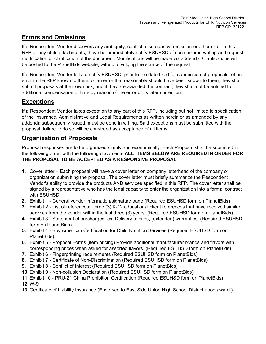# **Errors and Omissions**

If a Respondent Vendor discovers any ambiguity, conflict, discrepancy, omission or other error in this RFP or any of its attachments, they shall immediately notify ESUHSD of such error in writing and request modification or clarification of the document. Modifications will be made via addenda. Clarifications will be posted to the PlanetBids website, without divulging the source of the request.

If a Respondent Vendor fails to notify ESUHSD, prior to the date fixed for submission of proposals, of an error in the RFP known to them, or an error that reasonably should have been known to them, they shall submit proposals at their own risk, and if they are awarded the contract, they shall not be entitled to additional compensation or time by reason of the error or its later correction.

# **Exceptions**

If a Respondent Vendor takes exception to any part of this RFP, including but not limited to specification of the Insurance, Administrative and Legal Requirements as written herein or as amended by any addenda subsequently issued, must be done in writing. Said exceptions must be submitted with the proposal, failure to do so will be construed as acceptance of all items.

#### **Organization of Proposals**

Proposal responses are to be organized simply and economically. Each Proposal shall be submitted in the following order with the following documents **ALL ITEMS BELOW ARE REQUIRED IN ORDER FOR THE PROPOSAL TO BE ACCEPTED AS A RESPONSIVE PROPOSAL**:

- **1.** Cover letter Each proposal will have a cover letter on company letterhead of the company or organization submitting the proposal. The cover letter must briefly summarize the Respondent Vendor's ability to provide the products AND services specified in this RFP. The cover letter shall be signed by a representative who has the legal capacity to enter the organization into a formal contract with ESUHSD.
- **2.** Exhibit 1 General vendor information/signature page (Required ESUHSD form on PlanetBids)
- **3.** Exhibit 2 List of references: Three (3) K-12 educational client references that have received similar services from the vendor within the last three (3) years. (Required ESUHSD form on PlanetBids)
- **4.** Exhibit 3 Statement of surcharges- ex. Delivery to sites, (extended) warranties. (Required ESUHSD form on PlanetBids)
- **5.** Exhibit 4 Buy American Certification for Child Nutrition Services (Required ESUHSD form on PlanetBids)
- **6.** Exhibit 5 Proposal Forms (item pricing) Provide additional manufacturer brands and flavors with corresponding prices when asked for assorted flavors. (Required ESUHSD form on PlanetBids)
- **7.** Exhibit 6 Fingerprinting requirements (Required ESUHSD form on PlanetBids)
- **8.** Exhibit 7 Certificate of Non-Discrimination (Required ESUHSD form on PlanetBids)
- **9.** Exhibit 8 Conflict of Interest (Required ESUHSD form on PlanetBids)
- **10.** Exhibit 9 Non-collusion Declaration (Required ESUHSD form on PlanetBids)
- **11.** Exhibit 10 PRU-21 China Prohibition Certification (Required ESUHSD form on PlanetBids)

**12.** W-9

**13.** Certificate of Liability Insurance (Endorsed to East Side Union High School District upon award.)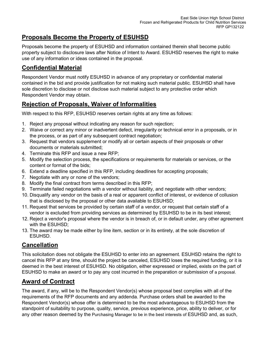# **Proposals Become the Property of ESUHSD**

Proposals become the property of ESUHSD and information contained therein shall become public property subject to disclosure laws after Notice of Intent to Award. ESUHSD reserves the right to make use of any information or ideas contained in the proposal.

### **Confidential Material**

Respondent Vendor must notify ESUHSD in advance of any proprietary or confidential material contained in the bid and provide justification for not making such material public. ESUHSD shall have sole discretion to disclose or not disclose such material subject to any protective order which Respondent Vendor may obtain.

# **Rejection of Proposals, Waiver of Informalities**

With respect to this RFP, ESUHSD reserves certain rights at any time as follows:

- 1. Reject any proposal without indicating any reason for such rejection;
- 2. Waive or correct any minor or inadvertent defect, irregularity or technical error in a proposals, or in the process, or as part of any subsequent contract negotiation;
- 3. Request that vendors supplement or modify all or certain aspects of their proposals or other documents or materials submitted;
- 4. Terminate this RFP and issue a new RFP;
- 5. Modify the selection process, the specifications or requirements for materials or services, or the content or format of the bids;
- 6. Extend a deadline specified in this RFP, including deadlines for accepting proposals;
- 7. Negotiate with any or none of the vendors;
- 8. Modify the final contract from terms described in this RFP;
- 9. Terminate failed negotiations with a vendor without liability, and negotiate with other vendors;
- 10. Disqualify any vendor on the basis of a real or apparent conflict of interest, or evidence of collusion that is disclosed by the proposal or other data available to ESUHSD;
- 11. Request that services be provided by certain staff of a vendor, or request that certain staff of a vendor is excluded from providing services as determined by ESUHSD to be in its best interest;
- 12. Reject a vendor's proposal where the vendor is in breach of, or in default under, any other agreement with the ESUHSD;
- 13. The award may be made either by line item, section or in its entirety, at the sole discretion of ESUHSD.

#### **Cancellation**

This solicitation does not obligate the ESUHSD to enter into an agreement. ESUHSD retains the right to cancel this RFP at any time, should the project be canceled, ESUHSD loses the required funding, or it is deemed in the best interest of ESUHSD. No obligation, either expressed or implied, exists on the part of ESUHSD to make an award or to pay any cost incurred in the preparation or submission of a proposal.

# **Award of Contract**

The award, if any, will be to the Respondent Vendor(s) whose proposal best complies with all of the requirements of the RFP documents and any addenda. Purchase orders shall be awarded to the Respondent Vendor(s) whose offer is determined to be the most advantageous to ESUHSD from the standpoint of suitability to purpose, quality, service, previous experience, price, ability to deliver, or for any other reason deemed by the Purchasing Manager to be in the best interests of ESUHSD and, as such,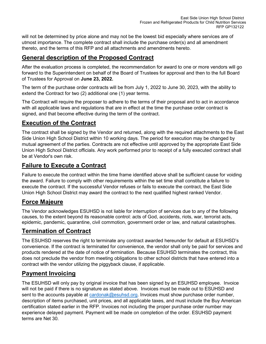will not be determined by price alone and may not be the lowest bid especially where services are of utmost importance. The complete contract shall include the purchase order(s) and all amendment thereto, and the terms of this RFP and all attachments and amendments hereto.

#### **General description of the Proposed Contract**

After the evaluation process is completed, the recommendation for award to one or more vendors will go forward to the Superintendent on behalf of the Board of Trustees for approval and then to the full Board of Trustees for Approval on **June 23, 2022.**

The term of the purchase order contracts will be from July 1, 2022 to June 30, 2023, with the ability to extend the Contract for two (2) additional one (1) year terms.

The Contract will require the proposer to adhere to the terms of their proposal and to act in accordance with all applicable laws and regulations that are in effect at the time the purchase order contract is signed, and that become effective during the term of the contract.

#### **Execution of the Contract**

The contract shall be signed by the Vendor and returned, along with the required attachments to the East Side Union High School District within 10 working days. The period for execution may be changed by mutual agreement of the parties. Contracts are not effective until approved by the appropriate East Side Union High School District officials. Any work performed prior to receipt of a fully executed contract shall be at Vendor's own risk.

#### **Failure to Execute a Contract**

Failure to execute the contract within the time frame identified above shall be sufficient cause for voiding the award. Failure to comply with other requirements within the set time shall constitute a failure to execute the contract. If the successful Vendor refuses or fails to execute the contract, the East Side Union High School District may award the contract to the next qualified highest ranked Vendor.

#### **Force Majeure**

The Vendor acknowledges ESUHSD is not liable for interruption of services due to any of the following causes, to the extent beyond its reasonable control: acts of God, accidents, riots, war, terrorist acts, epidemic, pandemic, quarantine, civil commotion, government order or law, and natural catastrophes.

#### **Termination of Contract**

The ESUHSD reserves the right to terminate any contract awarded hereunder for default at ESUHSD's convenience. If the contract is terminated for convenience, the vendor shall only be paid for services and products rendered at the date of notice of termination. Because ESUHSD terminates the contract, this does not preclude the vendor from meeting obligations to other school districts that have entered into a contract with the vendor utilizing the piggyback clause, if applicable.

#### **Payment Invoicing**

The ESUHSD will only pay by original invoice that has been signed by an ESUHSD employee. Invoice will not be paid if there is no signature as stated above. Invoices must be made out to ESUHSD and sent to the accounts payable at [cardonak@esuhsd.org.](mailto:cardonak@esuhsd.org) Invoices must show purchase order number, description of items purchased, unit prices, and all applicable taxes, and must include the Buy American certification stated earlier in the RFP. Invoices not including the proper purchase order number may experience delayed payment. Payment will be made on completion of the order. ESUHSD payment terms are Net 30.